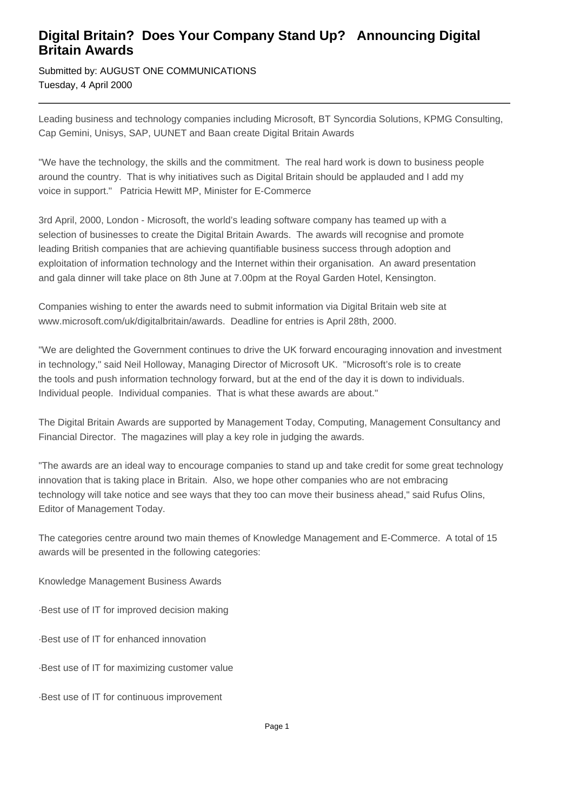## **Digital Britain? Does Your Company Stand Up? Announcing Digital Britain Awards**

Submitted by: AUGUST ONE COMMUNICATIONS Tuesday, 4 April 2000

Leading business and technology companies including Microsoft, BT Syncordia Solutions, KPMG Consulting, Cap Gemini, Unisys, SAP, UUNET and Baan create Digital Britain Awards

"We have the technology, the skills and the commitment. The real hard work is down to business people around the country. That is why initiatives such as Digital Britain should be applauded and I add my voice in support." Patricia Hewitt MP, Minister for E-Commerce

3rd April, 2000, London - Microsoft, the world's leading software company has teamed up with a selection of businesses to create the Digital Britain Awards. The awards will recognise and promote leading British companies that are achieving quantifiable business success through adoption and exploitation of information technology and the Internet within their organisation. An award presentation and gala dinner will take place on 8th June at 7.00pm at the Royal Garden Hotel, Kensington.

Companies wishing to enter the awards need to submit information via Digital Britain web site at www.microsoft.com/uk/digitalbritain/awards. Deadline for entries is April 28th, 2000.

"We are delighted the Government continues to drive the UK forward encouraging innovation and investment in technology," said Neil Holloway, Managing Director of Microsoft UK. "Microsoft's role is to create the tools and push information technology forward, but at the end of the day it is down to individuals. Individual people. Individual companies. That is what these awards are about."

The Digital Britain Awards are supported by Management Today, Computing, Management Consultancy and Financial Director. The magazines will play a key role in judging the awards.

"The awards are an ideal way to encourage companies to stand up and take credit for some great technology innovation that is taking place in Britain. Also, we hope other companies who are not embracing technology will take notice and see ways that they too can move their business ahead," said Rufus Olins, Editor of Management Today.

The categories centre around two main themes of Knowledge Management and E-Commerce. A total of 15 awards will be presented in the following categories:

Knowledge Management Business Awards

·Best use of IT for improved decision making

·Best use of IT for enhanced innovation

·Best use of IT for maximizing customer value

·Best use of IT for continuous improvement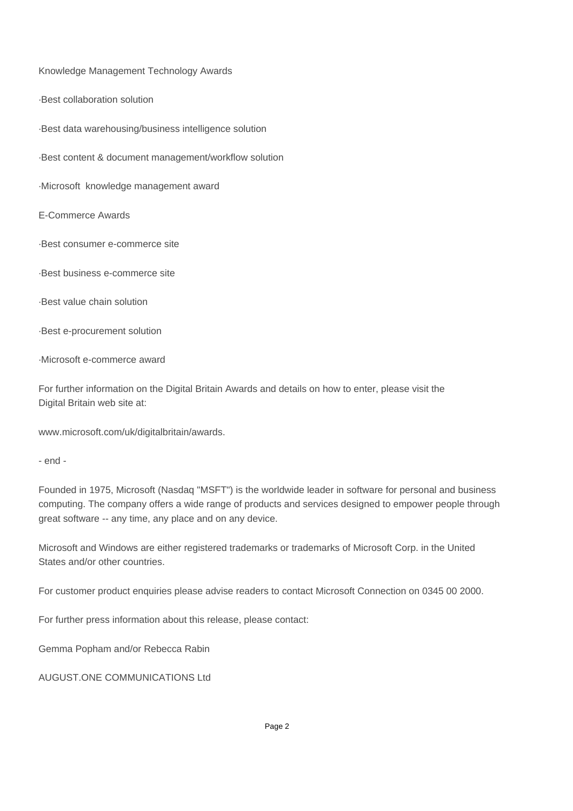Knowledge Management Technology Awards

·Best collaboration solution

·Best data warehousing/business intelligence solution

·Best content & document management/workflow solution

·Microsoft knowledge management award

E-Commerce Awards

·Best consumer e-commerce site

·Best business e-commerce site

·Best value chain solution

·Best e-procurement solution

·Microsoft e-commerce award

For further information on the Digital Britain Awards and details on how to enter, please visit the Digital Britain web site at:

www.microsoft.com/uk/digitalbritain/awards.

- end -

Founded in 1975, Microsoft (Nasdaq "MSFT") is the worldwide leader in software for personal and business computing. The company offers a wide range of products and services designed to empower people through great software -- any time, any place and on any device.

Microsoft and Windows are either registered trademarks or trademarks of Microsoft Corp. in the United States and/or other countries.

For customer product enquiries please advise readers to contact Microsoft Connection on 0345 00 2000.

For further press information about this release, please contact:

Gemma Popham and/or Rebecca Rabin

AUGUST.ONE COMMUNICATIONS Ltd